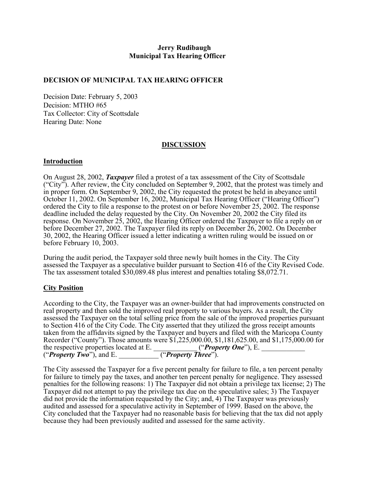## **Jerry Rudibaugh Municipal Tax Hearing Officer**

### **DECISION OF MUNICIPAL TAX HEARING OFFICER**

Decision Date: February 5, 2003 Decision: MTHO #65 Tax Collector: City of Scottsdale Hearing Date: None

## **DISCUSSION**

#### **Introduction**

On August 28, 2002, *Taxpayer* filed a protest of a tax assessment of the City of Scottsdale ("City"). After review, the City concluded on September 9, 2002, that the protest was timely and in proper form. On September 9, 2002, the City requested the protest be held in abeyance until October 11, 2002. On September 16, 2002, Municipal Tax Hearing Officer ("Hearing Officer") ordered the City to file a response to the protest on or before November 25, 2002. The response deadline included the delay requested by the City. On November 20, 2002 the City filed its response. On November 25, 2002, the Hearing Officer ordered the Taxpayer to file a reply on or before December 27, 2002. The Taxpayer filed its reply on December 26, 2002. On December 30, 2002, the Hearing Officer issued a letter indicating a written ruling would be issued on or before February 10, 2003.

During the audit period, the Taxpayer sold three newly built homes in the City. The City assessed the Taxpayer as a speculative builder pursuant to Section 416 of the City Revised Code. The tax assessment totaled \$30,089.48 plus interest and penalties totaling \$8,072.71.

#### **City Position**

According to the City, the Taxpayer was an owner-builder that had improvements constructed on real property and then sold the improved real property to various buyers. As a result, the City assessed the Taxpayer on the total selling price from the sale of the improved properties pursuant to Section 416 of the City Code. The City asserted that they utilized the gross receipt amounts taken from the affidavits signed by the Taxpayer and buyers and filed with the Maricopa County Recorder ("County"). Those amounts were \$1,225,000.00, \$1,181,625.00, and \$1,175,000.00 for the respective properties located at E. \_\_\_\_\_\_\_\_\_\_\_\_ ("*Property One*"), E. ("*Property Two*"), and E. \_\_\_\_\_\_\_\_\_\_\_ ("*Property Three*").

The City assessed the Taxpayer for a five percent penalty for failure to file, a ten percent penalty for failure to timely pay the taxes, and another ten percent penalty for negligence. They assessed penalties for the following reasons: 1) The Taxpayer did not obtain a privilege tax license; 2) The Taxpayer did not attempt to pay the privilege tax due on the speculative sales; 3) The Taxpayer did not provide the information requested by the City; and, 4) The Taxpayer was previously audited and assessed for a speculative activity in September of 1999. Based on the above, the City concluded that the Taxpayer had no reasonable basis for believing that the tax did not apply because they had been previously audited and assessed for the same activity.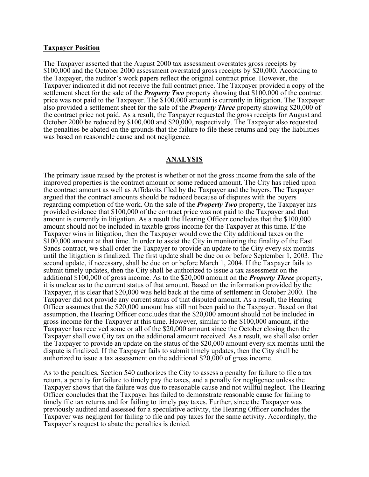#### **Taxpayer Position**

The Taxpayer asserted that the August 2000 tax assessment overstates gross receipts by \$100,000 and the October 2000 assessment overstated gross receipts by \$20,000. According to the Taxpayer, the auditor's work papers reflect the original contract price. However, the Taxpayer indicated it did not receive the full contract price. The Taxpayer provided a copy of the settlement sheet for the sale of the *Property Two* property showing that \$100,000 of the contract price was not paid to the Taxpayer. The \$100,000 amount is currently in litigation. The Taxpayer also provided a settlement sheet for the sale of the *Property Three* property showing \$20,000 of the contract price not paid. As a result, the Taxpayer requested the gross receipts for August and October 2000 be reduced by \$100,000 and \$20,000, respectively. The Taxpayer also requested the penalties be abated on the grounds that the failure to file these returns and pay the liabilities was based on reasonable cause and not negligence.

#### **ANALYSIS**

The primary issue raised by the protest is whether or not the gross income from the sale of the improved properties is the contract amount or some reduced amount. The City has relied upon the contract amount as well as Affidavits filed by the Taxpayer and the buyers. The Taxpayer argued that the contract amounts should be reduced because of disputes with the buyers regarding completion of the work. On the sale of the *Property Two* property, the Taxpayer has provided evidence that \$100,000 of the contract price was not paid to the Taxpayer and that amount is currently in litigation. As a result the Hearing Officer concludes that the \$100,000 amount should not be included in taxable gross income for the Taxpayer at this time. If the Taxpayer wins in litigation, then the Taxpayer would owe the City additional taxes on the \$100,000 amount at that time. In order to assist the City in monitoring the finality of the East Sands contract, we shall order the Taxpayer to provide an update to the City every six months until the litigation is finalized. The first update shall be due on or before September 1, 2003. The second update, if necessary, shall be due on or before March 1, 2004. If the Taxpayer fails to submit timely updates, then the City shall be authorized to issue a tax assessment on the additional \$100,000 of gross income. As to the \$20,000 amount on the *Property Three* property, it is unclear as to the current status of that amount. Based on the information provided by the Taxpayer, it is clear that \$20,000 was held back at the time of settlement in October 2000. The Taxpayer did not provide any current status of that disputed amount. As a result, the Hearing Officer assumes that the \$20,000 amount has still not been paid to the Taxpayer. Based on that assumption, the Hearing Officer concludes that the \$20,000 amount should not be included in gross income for the Taxpayer at this time. However, similar to the \$100,000 amount, if the Taxpayer has received some or all of the \$20,000 amount since the October closing then the Taxpayer shall owe City tax on the additional amount received. As a result, we shall also order the Taxpayer to provide an update on the status of the \$20,000 amount every six months until the dispute is finalized. If the Taxpayer fails to submit timely updates, then the City shall be authorized to issue a tax assessment on the additional \$20,000 of gross income.

As to the penalties, Section 540 authorizes the City to assess a penalty for failure to file a tax return, a penalty for failure to timely pay the taxes, and a penalty for negligence unless the Taxpayer shows that the failure was due to reasonable cause and not willful neglect. The Hearing Officer concludes that the Taxpayer has failed to demonstrate reasonable cause for failing to timely file tax returns and for failing to timely pay taxes. Further, since the Taxpayer was previously audited and assessed for a speculative activity, the Hearing Officer concludes the Taxpayer was negligent for failing to file and pay taxes for the same activity. Accordingly, the Taxpayer's request to abate the penalties is denied.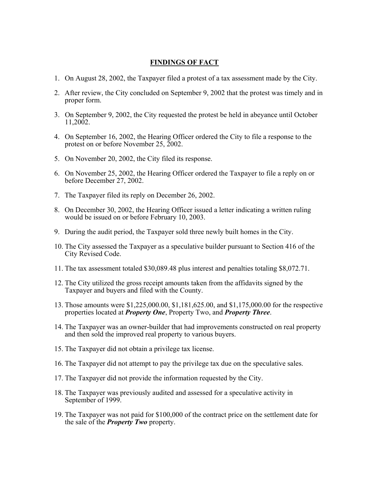## **FINDINGS OF FACT**

- 1. On August 28, 2002, the Taxpayer filed a protest of a tax assessment made by the City.
- 2. After review, the City concluded on September 9, 2002 that the protest was timely and in proper form.
- 3. On September 9, 2002, the City requested the protest be held in abeyance until October 11,2002.
- 4. On September 16, 2002, the Hearing Officer ordered the City to file a response to the protest on or before November 25, 2002.
- 5. On November 20, 2002, the City filed its response.
- 6. On November 25, 2002, the Hearing Officer ordered the Taxpayer to file a reply on or before December 27, 2002.
- 7. The Taxpayer filed its reply on December 26, 2002.
- 8. On December 30, 2002, the Hearing Officer issued a letter indicating a written ruling would be issued on or before February 10, 2003.
- 9. During the audit period, the Taxpayer sold three newly built homes in the City.
- 10. The City assessed the Taxpayer as a speculative builder pursuant to Section 416 of the City Revised Code.
- 11. The tax assessment totaled \$30,089.48 plus interest and penalties totaling \$8,072.71.
- 12. The City utilized the gross receipt amounts taken from the affidavits signed by the Taxpayer and buyers and filed with the County.
- 13. Those amounts were \$1,225,000.00, \$1,181,625.00, and \$1,175,000.00 for the respective properties located at *Property One*, Property Two, and *Property Three*.
- 14. The Taxpayer was an owner-builder that had improvements constructed on real property and then sold the improved real property to various buyers.
- 15. The Taxpayer did not obtain a privilege tax license.
- 16. The Taxpayer did not attempt to pay the privilege tax due on the speculative sales.
- 17. The Taxpayer did not provide the information requested by the City.
- 18. The Taxpayer was previously audited and assessed for a speculative activity in September of 1999.
- 19. The Taxpayer was not paid for \$100,000 of the contract price on the settlement date for the sale of the *Property Two* property.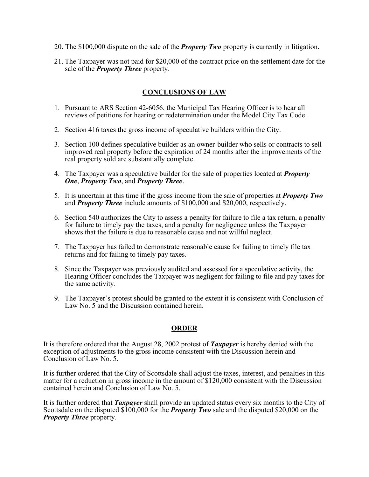- 20. The \$100,000 dispute on the sale of the *Property Two* property is currently in litigation.
- 21. The Taxpayer was not paid for \$20,000 of the contract price on the settlement date for the sale of the *Property Three* property.

# **CONCLUSIONS OF LAW**

- 1. Pursuant to ARS Section 42-6056, the Municipal Tax Hearing Officer is to hear all reviews of petitions for hearing or redetermination under the Model City Tax Code.
- 2. Section 416 taxes the gross income of speculative builders within the City.
- 3. Section 100 defines speculative builder as an owner-builder who sells or contracts to sell improved real property before the expiration of 24 months after the improvements of the real property sold are substantially complete.
- 4. The Taxpayer was a speculative builder for the sale of properties located at *Property One*, *Property Two*, and *Property Three*.
- 5. It is uncertain at this time if the gross income from the sale of properties at *Property Two* and *Property Three* include amounts of \$100,000 and \$20,000, respectively.
- 6. Section 540 authorizes the City to assess a penalty for failure to file a tax return, a penalty for failure to timely pay the taxes, and a penalty for negligence unless the Taxpayer shows that the failure is due to reasonable cause and not willful neglect.
- 7. The Taxpayer has failed to demonstrate reasonable cause for failing to timely file tax returns and for failing to timely pay taxes.
- 8. Since the Taxpayer was previously audited and assessed for a speculative activity, the Hearing Officer concludes the Taxpayer was negligent for failing to file and pay taxes for the same activity.
- 9. The Taxpayer's protest should be granted to the extent it is consistent with Conclusion of Law No. 5 and the Discussion contained herein.

# **ORDER**

It is therefore ordered that the August 28, 2002 protest of *Taxpayer* is hereby denied with the exception of adjustments to the gross income consistent with the Discussion herein and Conclusion of Law No. 5.

It is further ordered that the City of Scottsdale shall adjust the taxes, interest, and penalties in this matter for a reduction in gross income in the amount of \$120,000 consistent with the Discussion contained herein and Conclusion of Law No. 5.

It is further ordered that *Taxpayer* shall provide an updated status every six months to the City of Scottsdale on the disputed \$100,000 for the *Property Two* sale and the disputed \$20,000 on the *Property Three* property.